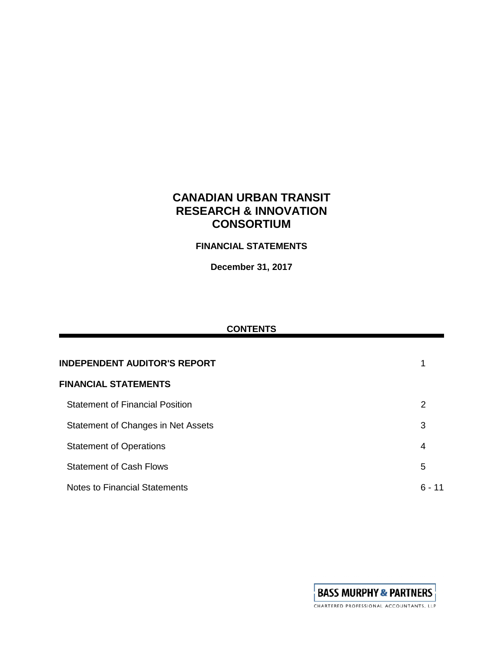# **CANADIAN URBAN TRANSIT RESEARCH & INNOVATION CONSORTIUM**

## **FINANCIAL STATEMENTS**

**December 31, 2017**

## **CONTENTS**

| <b>INDEPENDENT AUDITOR'S REPORT</b>    |        |  |  |  |
|----------------------------------------|--------|--|--|--|
| <b>FINANCIAL STATEMENTS</b>            |        |  |  |  |
| <b>Statement of Financial Position</b> | 2      |  |  |  |
| Statement of Changes in Net Assets     | 3      |  |  |  |
| <b>Statement of Operations</b>         | 4      |  |  |  |
| <b>Statement of Cash Flows</b>         | 5      |  |  |  |
| <b>Notes to Financial Statements</b>   | ճ - 11 |  |  |  |

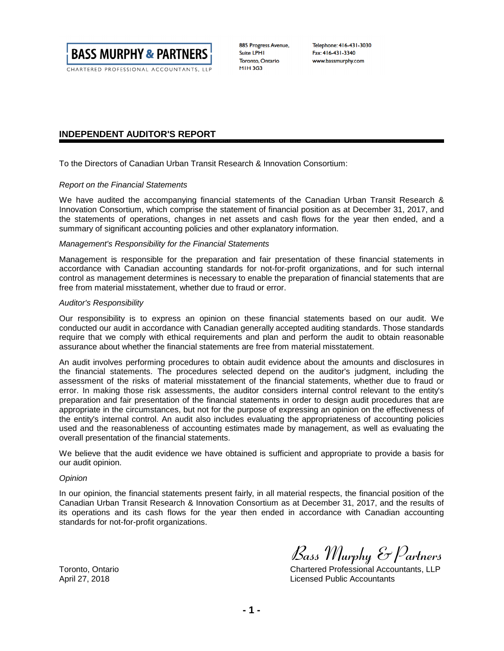

CHARTERED PROFESSIONAL ACCOUNTANTS, LLP

885 Progress Avenue, **Suite LPHI** Toronto, Ontario **MIH3G3** 

Telephone: 416-431-3030 Fax: 416-431-3340 www.bassmurphy.com

#### **INDEPENDENT AUDITOR'S REPORT**

To the Directors of Canadian Urban Transit Research & Innovation Consortium:

#### *Report on the Financial Statements*

We have audited the accompanying financial statements of the Canadian Urban Transit Research & Innovation Consortium, which comprise the statement of financial position as at December 31, 2017, and the statements of operations, changes in net assets and cash flows for the year then ended, and a summary of significant accounting policies and other explanatory information.

#### *Management's Responsibility for the Financial Statements*

Management is responsible for the preparation and fair presentation of these financial statements in accordance with Canadian accounting standards for not-for-profit organizations, and for such internal control as management determines is necessary to enable the preparation of financial statements that are free from material misstatement, whether due to fraud or error.

#### *Auditor's Responsibility*

Our responsibility is to express an opinion on these financial statements based on our audit. We conducted our audit in accordance with Canadian generally accepted auditing standards. Those standards require that we comply with ethical requirements and plan and perform the audit to obtain reasonable assurance about whether the financial statements are free from material misstatement.

An audit involves performing procedures to obtain audit evidence about the amounts and disclosures in the financial statements. The procedures selected depend on the auditor's judgment, including the assessment of the risks of material misstatement of the financial statements, whether due to fraud or error. In making those risk assessments, the auditor considers internal control relevant to the entity's preparation and fair presentation of the financial statements in order to design audit procedures that are appropriate in the circumstances, but not for the purpose of expressing an opinion on the effectiveness of the entity's internal control. An audit also includes evaluating the appropriateness of accounting policies used and the reasonableness of accounting estimates made by management, as well as evaluating the overall presentation of the financial statements.

We believe that the audit evidence we have obtained is sufficient and appropriate to provide a basis for our audit opinion.

#### *Opinion*

In our opinion, the financial statements present fairly, in all material respects, the financial position of the Canadian Urban Transit Research & Innovation Consortium as at December 31, 2017, and the results of its operations and its cash flows for the year then ended in accordance with Canadian accounting standards for not-for-profit organizations.

*Bass Murphy & Partners*

Toronto, Ontario Chartered Professional Accountants, LLP April 27, 2018 Licensed Public Accountants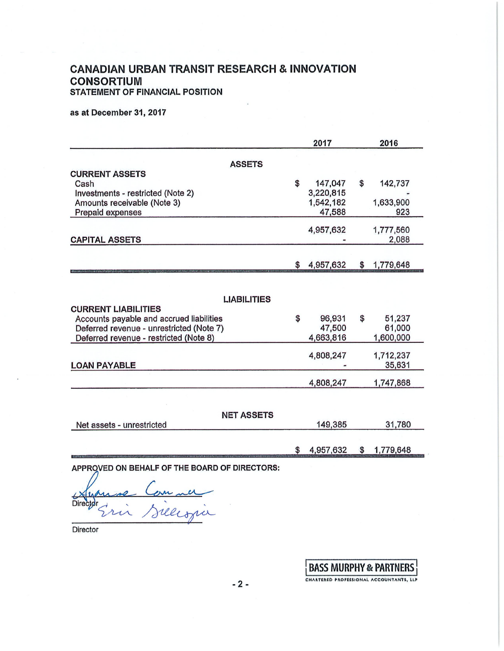## **CANADIAN URBAN TRANSIT RESEARCH & INNOVATION CONSORTIUM STATEMENT OF FINANCIAL POSITION**

as at December 31, 2017

|                                                                                                                                          |     | 2017                                        | 2016 |                                  |  |
|------------------------------------------------------------------------------------------------------------------------------------------|-----|---------------------------------------------|------|----------------------------------|--|
| <b>ASSETS</b>                                                                                                                            |     |                                             |      |                                  |  |
| <b>CURRENT ASSETS</b><br>Cash<br>Investments - restricted (Note 2)<br>Amounts receivable (Note 3)<br>Prepaid expenses                    | \$  | 147,047<br>3,220,815<br>1,542,182<br>47,588 | \$   | 142,737<br>1,633,900<br>923      |  |
| <b>CAPITAL ASSETS</b>                                                                                                                    |     | 4,957,632                                   |      | 1,777,560<br>2,088               |  |
|                                                                                                                                          | \$. | 4,957,632                                   | \$   | 1,779,648                        |  |
| <b>LIABILITIES</b><br><b>CURRENT LIABILITIES</b><br>Accounts payable and accrued liabilities<br>Deferred revenue - unrestricted (Note 7) | \$  | 96,931<br>47,500                            | \$   | 51,237<br>61,000                 |  |
| Deferred revenue - restricted (Note 8)<br><b>LOAN PAYABLE</b>                                                                            |     | 4,663,816<br>4,808,247                      |      | 1,600,000<br>1,712,237<br>35,631 |  |
|                                                                                                                                          |     | 4,808,247                                   |      | 1,747,868                        |  |
| <b>NET ASSETS</b><br>Net assets - unrestricted                                                                                           |     | 149,385                                     |      | 31,780                           |  |
|                                                                                                                                          | \$  | 4,957,632                                   | S    | 1,779,648                        |  |

APPROVED ON BEHALF OF THE BOARD OF DIRECTORS:

in Sielespie **Directd** 

Director

**BASS MURPHY & PARTNERS** 

CHARTERED PROFESSIONAL ACCOUNTANTS, LLP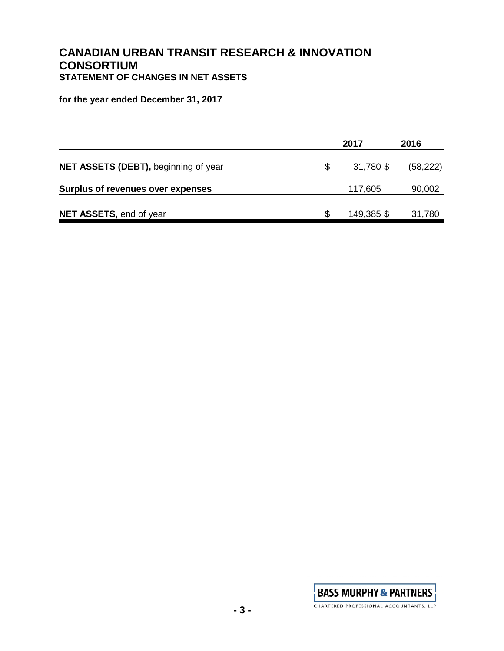## **CANADIAN URBAN TRANSIT RESEARCH & INNOVATION CONSORTIUM STATEMENT OF CHANGES IN NET ASSETS**

**for the year ended December 31, 2017**

|                                      |    | 2017       | 2016      |
|--------------------------------------|----|------------|-----------|
| NET ASSETS (DEBT), beginning of year | S. | 31,780 \$  | (58, 222) |
| Surplus of revenues over expenses    |    | 117,605    | 90,002    |
| NET ASSETS, end of year              |    | 149,385 \$ | 31,780    |

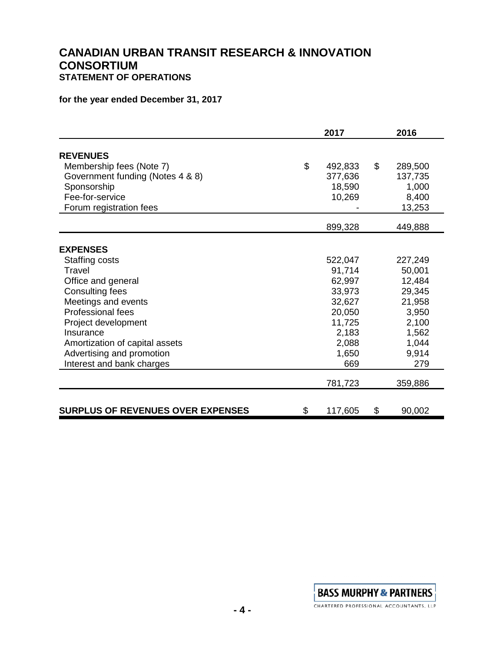## **CANADIAN URBAN TRANSIT RESEARCH & INNOVATION CONSORTIUM STATEMENT OF OPERATIONS**

## **for the year ended December 31, 2017**

|                                   | 2017          | 2016          |
|-----------------------------------|---------------|---------------|
| <b>REVENUES</b>                   |               |               |
| Membership fees (Note 7)          | \$<br>492,833 | \$<br>289,500 |
| Government funding (Notes 4 & 8)  | 377,636       | 137,735       |
| Sponsorship                       | 18,590        | 1,000         |
| Fee-for-service                   | 10,269        | 8,400         |
| Forum registration fees           |               | 13,253        |
|                                   | 899,328       | 449,888       |
|                                   |               |               |
| <b>EXPENSES</b>                   |               |               |
| Staffing costs                    | 522,047       | 227,249       |
| Travel                            | 91,714        | 50,001        |
| Office and general                | 62,997        | 12,484        |
| <b>Consulting fees</b>            | 33,973        | 29,345        |
| Meetings and events               | 32,627        | 21,958        |
| <b>Professional fees</b>          | 20,050        | 3,950         |
| Project development               | 11,725        | 2,100         |
| Insurance                         | 2,183         | 1,562         |
| Amortization of capital assets    | 2,088         | 1,044         |
| Advertising and promotion         | 1,650         | 9,914         |
| Interest and bank charges         | 669           | 279           |
|                                   | 781,723       | 359,886       |
|                                   |               |               |
| SURPLUS OF REVENUES OVER EXPENSES | \$<br>117,605 | \$<br>90,002  |

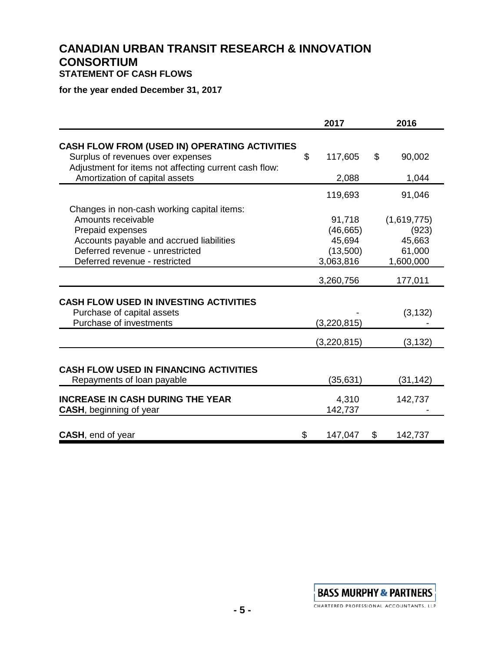## **CANADIAN URBAN TRANSIT RESEARCH & INNOVATION CONSORTIUM STATEMENT OF CASH FLOWS**

**for the year ended December 31, 2017**

|                                                                                                                                                                                                      | 2017                                                   | 2016                                                  |
|------------------------------------------------------------------------------------------------------------------------------------------------------------------------------------------------------|--------------------------------------------------------|-------------------------------------------------------|
| <b>CASH FLOW FROM (USED IN) OPERATING ACTIVITIES</b><br>Surplus of revenues over expenses<br>Adjustment for items not affecting current cash flow:<br>Amortization of capital assets                 | \$<br>117,605<br>2,088                                 | \$<br>90,002<br>1,044                                 |
|                                                                                                                                                                                                      | 119,693                                                | 91,046                                                |
| Changes in non-cash working capital items:<br>Amounts receivable<br>Prepaid expenses<br>Accounts payable and accrued liabilities<br>Deferred revenue - unrestricted<br>Deferred revenue - restricted | 91,718<br>(46, 665)<br>45,694<br>(13,500)<br>3,063,816 | (1,619,775)<br>(923)<br>45,663<br>61,000<br>1,600,000 |
|                                                                                                                                                                                                      | 3,260,756                                              | 177,011                                               |
| <b>CASH FLOW USED IN INVESTING ACTIVITIES</b><br>Purchase of capital assets<br>Purchase of investments                                                                                               | (3,220,815)                                            | (3, 132)                                              |
|                                                                                                                                                                                                      | (3,220,815)                                            | (3, 132)                                              |
| <b>CASH FLOW USED IN FINANCING ACTIVITIES</b><br>Repayments of loan payable                                                                                                                          | (35, 631)                                              | (31, 142)                                             |
| <b>INCREASE IN CASH DURING THE YEAR</b><br><b>CASH, beginning of year</b>                                                                                                                            | 4,310<br>142,737                                       | 142,737                                               |
| <b>CASH, end of year</b>                                                                                                                                                                             | \$<br>147,047                                          | \$<br>142,737                                         |

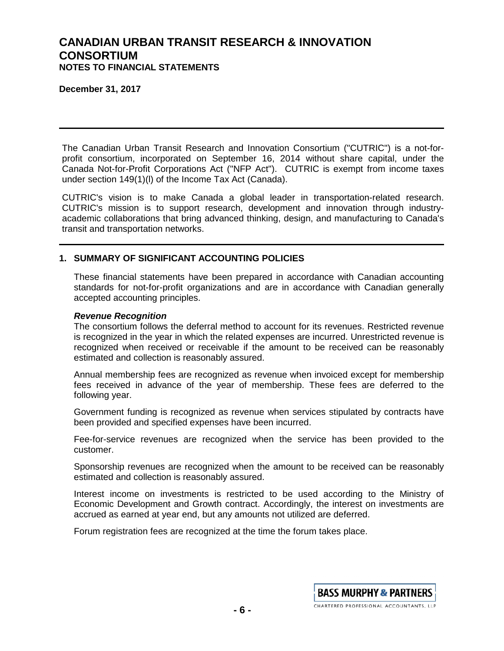**December 31, 2017**

The Canadian Urban Transit Research and Innovation Consortium ("CUTRIC") is a not-forprofit consortium, incorporated on September 16, 2014 without share capital, under the Canada Not-for-Profit Corporations Act ("NFP Act"). CUTRIC is exempt from income taxes under section 149(1)(l) of the Income Tax Act (Canada).

CUTRIC's vision is to make Canada a global leader in transportation-related research. CUTRIC's mission is to support research, development and innovation through industryacademic collaborations that bring advanced thinking, design, and manufacturing to Canada's transit and transportation networks.

### **1. SUMMARY OF SIGNIFICANT ACCOUNTING POLICIES**

These financial statements have been prepared in accordance with Canadian accounting standards for not-for-profit organizations and are in accordance with Canadian generally accepted accounting principles.

#### *Revenue Recognition*

The consortium follows the deferral method to account for its revenues. Restricted revenue is recognized in the year in which the related expenses are incurred. Unrestricted revenue is recognized when received or receivable if the amount to be received can be reasonably estimated and collection is reasonably assured.

Annual membership fees are recognized as revenue when invoiced except for membership fees received in advance of the year of membership. These fees are deferred to the following year.

Government funding is recognized as revenue when services stipulated by contracts have been provided and specified expenses have been incurred.

Fee-for-service revenues are recognized when the service has been provided to the customer.

Sponsorship revenues are recognized when the amount to be received can be reasonably estimated and collection is reasonably assured.

Interest income on investments is restricted to be used according to the Ministry of Economic Development and Growth contract. Accordingly, the interest on investments are accrued as earned at year end, but any amounts not utilized are deferred.

Forum registration fees are recognized at the time the forum takes place.

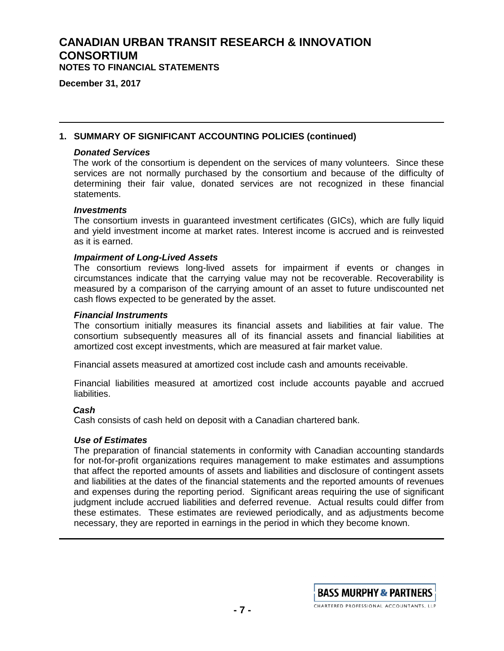**December 31, 2017**

### **1. SUMMARY OF SIGNIFICANT ACCOUNTING POLICIES (continued)**

#### *Donated Services*

The work of the consortium is dependent on the services of many volunteers. Since these services are not normally purchased by the consortium and because of the difficulty of determining their fair value, donated services are not recognized in these financial statements.

#### *Investments*

The consortium invests in guaranteed investment certificates (GICs), which are fully liquid and yield investment income at market rates. Interest income is accrued and is reinvested as it is earned.

#### *Impairment of Long-Lived Assets*

The consortium reviews long-lived assets for impairment if events or changes in circumstances indicate that the carrying value may not be recoverable. Recoverability is measured by a comparison of the carrying amount of an asset to future undiscounted net cash flows expected to be generated by the asset.

#### *Financial Instruments*

The consortium initially measures its financial assets and liabilities at fair value. The consortium subsequently measures all of its financial assets and financial liabilities at amortized cost except investments, which are measured at fair market value.

Financial assets measured at amortized cost include cash and amounts receivable.

Financial liabilities measured at amortized cost include accounts payable and accrued liabilities.

#### *Cash*

Cash consists of cash held on deposit with a Canadian chartered bank.

### *Use of Estimates*

The preparation of financial statements in conformity with Canadian accounting standards for not-for-profit organizations requires management to make estimates and assumptions that affect the reported amounts of assets and liabilities and disclosure of contingent assets and liabilities at the dates of the financial statements and the reported amounts of revenues and expenses during the reporting period. Significant areas requiring the use of significant judgment include accrued liabilities and deferred revenue. Actual results could differ from these estimates. These estimates are reviewed periodically, and as adjustments become necessary, they are reported in earnings in the period in which they become known.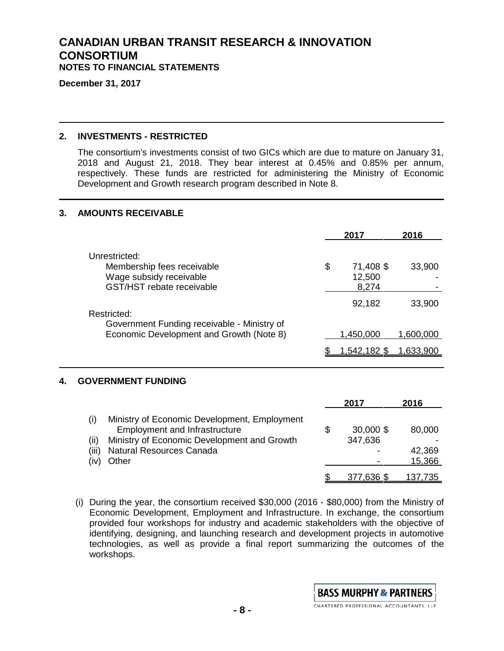**December 31, 2017**

### **2. INVESTMENTS - RESTRICTED**

The consortium's investments consist of two GICs which are due to mature on January 31, 2018 and August 21, 2018. They bear interest at 0.45% and 0.85% per annum, respectively. These funds are restricted for administering the Ministry of Economic Development and Growth research program described in Note 8.

### **3. AMOUNTS RECEIVABLE**

|    |                                                                                                            | 2017                               | 2016      |
|----|------------------------------------------------------------------------------------------------------------|------------------------------------|-----------|
|    | Unrestricted:<br>Membership fees receivable<br>Wage subsidy receivable<br><b>GST/HST</b> rebate receivable | \$<br>71,408 \$<br>12,500<br>8,274 | 33,900    |
|    | Restricted:<br>Government Funding receivable - Ministry of                                                 | 92,182                             | 33,900    |
|    | Economic Development and Growth (Note 8)                                                                   | 1,450,000                          | 1,600,000 |
|    |                                                                                                            | <u>1,542,182 \$</u>                | 1,633,900 |
| 4. | <b>GOVERNMENT FUNDING</b>                                                                                  |                                    |           |
|    |                                                                                                            | 2017                               | 2016      |
|    | (i)<br>Ministry of Economic Development, Employment<br><b>Employment and Infrastructure</b>                | \$<br>30,000 \$                    | 80,000    |
|    | Ministry of Economic Development and Growth<br>(ii)                                                        | 347,636                            |           |

- (iii) Natural Resources Canada 42,369
- (iv) Other 15,366
- (i) During the year, the consortium received \$30,000 (2016 \$80,000) from the Ministry of Economic Development, Employment and Infrastructure. In exchange, the consortium provided four workshops for industry and academic stakeholders with the objective of identifying, designing, and launching research and development projects in automotive technologies, as well as provide a final report summarizing the outcomes of the workshops.



\$ 377,636 \$ 137,735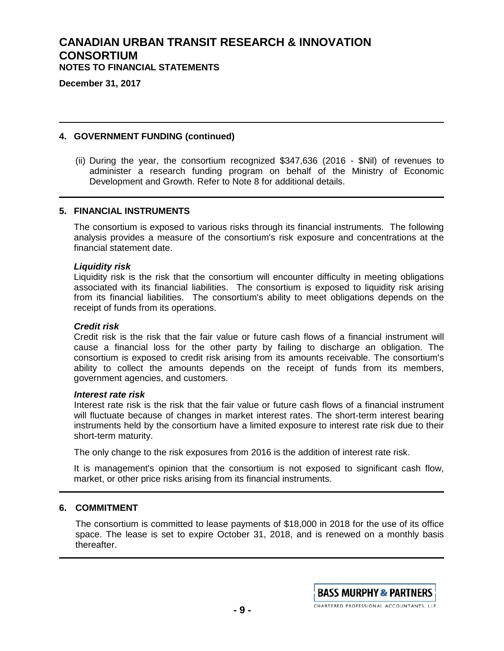**December 31, 2017**

### **4. GOVERNMENT FUNDING (continued)**

(ii) During the year, the consortium recognized \$347,636 (2016 - \$Nil) of revenues to administer a research funding program on behalf of the Ministry of Economic Development and Growth. Refer to Note 8 for additional details.

#### **5. FINANCIAL INSTRUMENTS**

The consortium is exposed to various risks through its financial instruments. The following analysis provides a measure of the consortium's risk exposure and concentrations at the financial statement date.

#### *Liquidity risk*

Liquidity risk is the risk that the consortium will encounter difficulty in meeting obligations associated with its financial liabilities. The consortium is exposed to liquidity risk arising from its financial liabilities. The consortium's ability to meet obligations depends on the receipt of funds from its operations.

#### *Credit risk*

Credit risk is the risk that the fair value or future cash flows of a financial instrument will cause a financial loss for the other party by failing to discharge an obligation. The consortium is exposed to credit risk arising from its amounts receivable. The consortium's ability to collect the amounts depends on the receipt of funds from its members, government agencies, and customers.

#### *Interest rate risk*

Interest rate risk is the risk that the fair value or future cash flows of a financial instrument will fluctuate because of changes in market interest rates. The short-term interest bearing instruments held by the consortium have a limited exposure to interest rate risk due to their short-term maturity.

The only change to the risk exposures from 2016 is the addition of interest rate risk.

It is management's opinion that the consortium is not exposed to significant cash flow, market, or other price risks arising from its financial instruments.

### **6. COMMITMENT**

The consortium is committed to lease payments of \$18,000 in 2018 for the use of its office space. The lease is set to expire October 31, 2018, and is renewed on a monthly basis thereafter.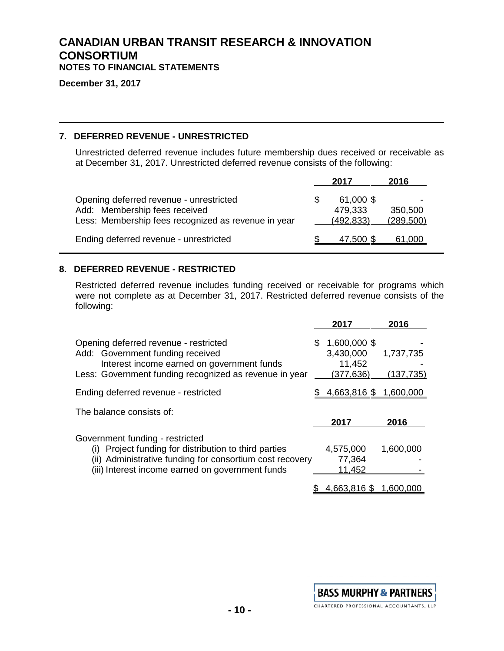**December 31, 2017**

### **7. DEFERRED REVENUE - UNRESTRICTED**

Unrestricted deferred revenue includes future membership dues received or receivable as at December 31, 2017. Unrestricted deferred revenue consists of the following:

|                                                                                                                                 | 2017                               | 2016                  |
|---------------------------------------------------------------------------------------------------------------------------------|------------------------------------|-----------------------|
| Opening deferred revenue - unrestricted<br>Add: Membership fees received<br>Less: Membership fees recognized as revenue in year | 61,000 \$<br>479,333<br>(492, 833) | 350,500<br>(289, 500) |
| Ending deferred revenue - unrestricted                                                                                          | 47,500 \$                          | 61,000                |

### **8. DEFERRED REVENUE - RESTRICTED**

Restricted deferred revenue includes funding received or receivable for programs which were not complete as at December 31, 2017. Restricted deferred revenue consists of the following:

|                                                                                                                                                                                                             | 2017                                              | 2016                    |
|-------------------------------------------------------------------------------------------------------------------------------------------------------------------------------------------------------------|---------------------------------------------------|-------------------------|
| Opening deferred revenue - restricted<br>Add: Government funding received<br>Interest income earned on government funds<br>Less: Government funding recognized as revenue in year                           | 1,600,000 \$<br>3,430,000<br>11,452<br>(377, 636) | 1,737,735<br>(137, 735) |
| Ending deferred revenue - restricted                                                                                                                                                                        | 4,663,816 \$                                      | 1,600,000               |
| The balance consists of:                                                                                                                                                                                    | 2017                                              | 2016                    |
| Government funding - restricted<br>Project funding for distribution to third parties<br>(۱)<br>(ii) Administrative funding for consortium cost recovery<br>(iii) Interest income earned on government funds | 4,575,000<br>77,364<br>11,452<br>4,663,816 \$     | 1,600,000<br>1,600,000  |